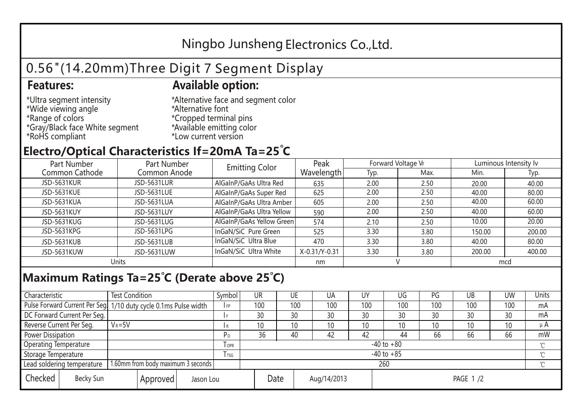## Ningbo Junsheng Electronics Co.,Ltd.

# 0.56"(14.20mm)Three Digit 7 Segment Display

### **Features: Available option:**

- \*Ultra segment intensity \*Wide viewing angle \*Range of colors \*Gray/Black face White segment \*RoHS compliant
- \*Alternative face and segment color \*Alternative font \*Cropped terminal pins \*Available emitting color \*Low current version

### **Electro/Optical Characteristics If=20mA Ta=25 C**

| Part Number        | Part Number  | <b>Emitting Color</b>     | Peak          | Forward Voltage VF |      | Luminous Intensity lv |        |  |
|--------------------|--------------|---------------------------|---------------|--------------------|------|-----------------------|--------|--|
| Common Cathode     | Common Anode |                           | Wavelength    | Typ.               | Max. | Min.                  | Typ.   |  |
| <b>JSD-5631KUR</b> | JSD-5631LUR  | AlGaInP/GaAs Ultra Red    | 635           | 2.00               | 2.50 | 20.00                 | 40.00  |  |
| <b>JSD-5631KUE</b> | JSD-5631LUE  | AlGaInP/GaAs Super Red    | 625           | 2.00               | 2.50 | 40.00                 | 80.00  |  |
| JSD-5631KUA        | JSD-5631LUA  | AlGaInP/GaAs Ultra Amber  | 605           | 2.00               | 2.50 | 40.00                 | 60.00  |  |
| JSD-5631KUY        | JSD-5631LUY  | AlGaInP/GaAs Ultra Yellow | 590           | 2.00               | 2.50 | 40.00                 | 60.00  |  |
| JSD-5631KUG        | JSD-5631LUG  | AlGaInP/GaAs Yellow Green | 574           | 2.10               | 2.50 | 10.00                 | 20.00  |  |
| JSD-5631KPG        | JSD-5631LPG  | InGaN/SiC Pure Green      | 525           | 3.30               | 3.80 | 150.00                | 200.00 |  |
| JSD-5631KUB        | JSD-5631LUB  | InGaN/SiC Ultra Blue      | 470           | 3.30               | 3.80 | 40.00                 | 80.00  |  |
| JSD-5631KUW        | JSD-5631LUW  | InGaN/SiC Ultra White     | X-0.31/Y-0.31 | 3.30               | 3.80 | 200.00                | 400.00 |  |
| Units              |              |                           | nm            |                    |      | mcd                   |        |  |

### **Maximum Ratings Ta=25°C (Derate above 25°C)**

| Characteristic                                |            | <b>Test Condition</b><br>Symbol                                  |                                 |                | UR              |  | UE  | UA  | UY  | UG  | PG  | UB              | <b>UW</b> | <b>Units</b> |
|-----------------------------------------------|------------|------------------------------------------------------------------|---------------------------------|----------------|-----------------|--|-----|-----|-----|-----|-----|-----------------|-----------|--------------|
|                                               |            | Pulse Forward Current Per Seg. 1/10 duty cycle 0.1ms Pulse width |                                 |                | 100             |  | 100 | 100 | 100 | 100 | 100 | 100             | 100       | mA           |
| DC Forward Current Per Seg.                   |            |                                                                  |                                 |                | 30              |  | 30  | 30  | 30  | 30  | 30  | 30              | 30        | mA           |
| Reverse Current Per Seg.                      | $V_R = 5V$ |                                                                  |                                 | I R            | 10 <sup>°</sup> |  | 10  | 10  | 10  | 10  | 10  | 10 <sup>°</sup> | 10        | $\mu$ A      |
| <b>Power Dissipation</b>                      |            |                                                                  |                                 |                | 36              |  | 40  | 42  | 42  | 44  | 66  | 66              | 66        | mW           |
| <b>Operating Temperature</b>                  |            |                                                                  | <b>OPR</b>                      | $-40$ to $+80$ |                 |  |     |     |     |     |     |                 | $\sim$    |              |
| Storage Temperature                           |            | <b>I</b> TSG                                                     | $-40$ to $+85$                  |                |                 |  |     |     |     |     |     | $\sim$          |           |              |
| Lead soldering temperature                    |            | 1.60mm from body maximum 3 seconds                               |                                 |                | 260<br>$\gamma$ |  |     |     |     |     |     |                 |           |              |
| Checked<br>Becky Sun<br>Approved<br>Jason Lou |            |                                                                  | Date<br>Aug/14/2013<br>PAGE 1/2 |                |                 |  |     |     |     |     |     |                 |           |              |